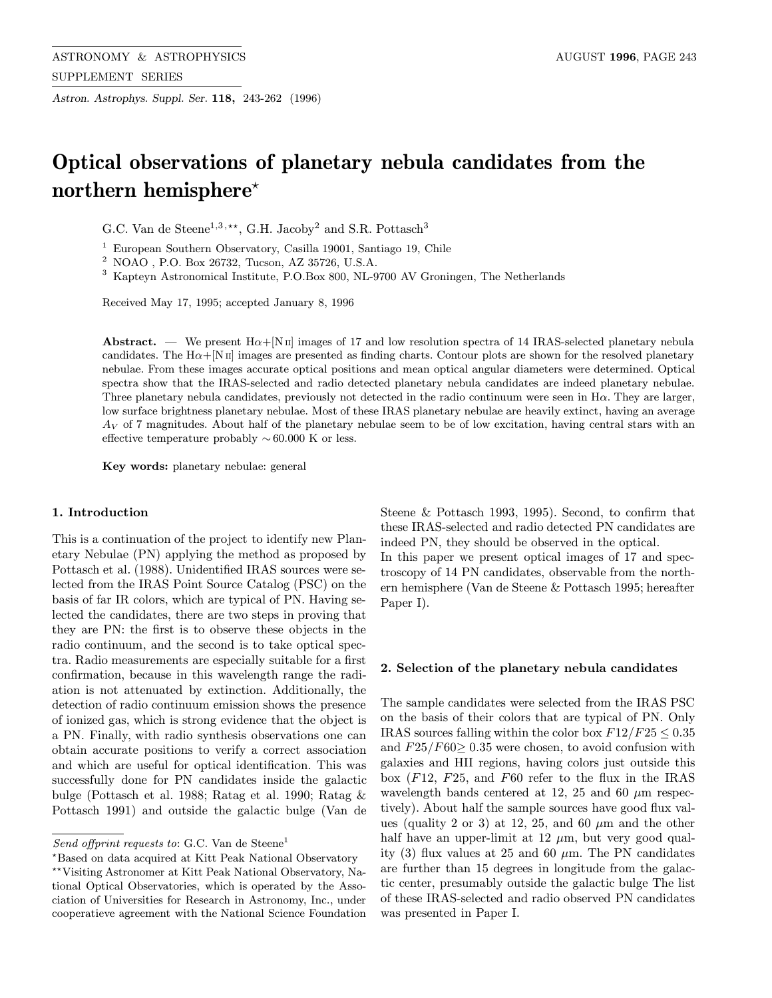Astron. Astrophys. Suppl. Ser. 118, 243-262 (1996)

# Optical observations of planetary nebula candidates from the northern hemisphere<sup> $\star$ </sup>

G.C. Van de Steene<sup>1,3,\*\*</sup>, G.H. Jacoby<sup>2</sup> and S.R. Pottasch<sup>3</sup>

<sup>1</sup> European Southern Observatory, Casilla 19001, Santiago 19, Chile

<sup>2</sup> NOAO , P.O. Box 26732, Tucson, AZ 35726, U.S.A.

<sup>3</sup> Kapteyn Astronomical Institute, P.O.Box 800, NL-9700 AV Groningen, The Netherlands

Received May 17, 1995; accepted January 8, 1996

Abstract. — We present  $H\alpha + [N\pi]$  images of 17 and low resolution spectra of 14 IRAS-selected planetary nebula candidates. The  $H\alpha + [N\pi]$  images are presented as finding charts. Contour plots are shown for the resolved planetary nebulae. From these images accurate optical positions and mean optical angular diameters were determined. Optical spectra show that the IRAS-selected and radio detected planetary nebula candidates are indeed planetary nebulae. Three planetary nebula candidates, previously not detected in the radio continuum were seen in Hα. They are larger, low surface brightness planetary nebulae. Most of these IRAS planetary nebulae are heavily extinct, having an average  $A_V$  of 7 magnitudes. About half of the planetary nebulae seem to be of low excitation, having central stars with an effective temperature probably  $\sim 60.000$  K or less.

Key words: planetary nebulae: general

### 1. Introduction

This is a continuation of the project to identify new Planetary Nebulae (PN) applying the method as proposed by Pottasch et al. (1988). Unidentified IRAS sources were selected from the IRAS Point Source Catalog (PSC) on the basis of far IR colors, which are typical of PN. Having selected the candidates, there are two steps in proving that they are PN: the first is to observe these objects in the radio continuum, and the second is to take optical spectra. Radio measurements are especially suitable for a first confirmation, because in this wavelength range the radiation is not attenuated by extinction. Additionally, the detection of radio continuum emission shows the presence of ionized gas, which is strong evidence that the object is a PN. Finally, with radio synthesis observations one can obtain accurate positions to verify a correct association and which are useful for optical identification. This was successfully done for PN candidates inside the galactic bulge (Pottasch et al. 1988; Ratag et al. 1990; Ratag & Pottasch 1991) and outside the galactic bulge (Van de

cooperatieve agreement with the National Science Foundation

Steene & Pottasch 1993, 1995). Second, to confirm that these IRAS-selected and radio detected PN candidates are indeed PN, they should be observed in the optical. In this paper we present optical images of 17 and spectroscopy of 14 PN candidates, observable from the northern hemisphere (Van de Steene & Pottasch 1995; hereafter Paper I).

#### 2. Selection of the planetary nebula candidates

The sample candidates were selected from the IRAS PSC on the basis of their colors that are typical of PN. Only IRAS sources falling within the color box  $F12/F25 \leq 0.35$ and  $F25/F60 \ge 0.35$  were chosen, to avoid confusion with galaxies and HII regions, having colors just outside this box  $(F12, F25, and F60$  refer to the flux in the IRAS wavelength bands centered at 12, 25 and 60  $\mu$ m respectively). About half the sample sources have good flux values (quality 2 or 3) at 12, 25, and 60  $\mu$ m and the other half have an upper-limit at 12  $\mu$ m, but very good quality (3) flux values at 25 and 60  $\mu$ m. The PN candidates are further than 15 degrees in longitude from the galactic center, presumably outside the galactic bulge The list of these IRAS-selected and radio observed PN candidates was presented in Paper I.

Send offprint requests to: G.C. Van de Steene<sup>1</sup>

<sup>?</sup>Based on data acquired at Kitt Peak National Observatory \*\*Visiting Astronomer at Kitt Peak National Observatory, National Optical Observatories, which is operated by the Association of Universities for Research in Astronomy, Inc., under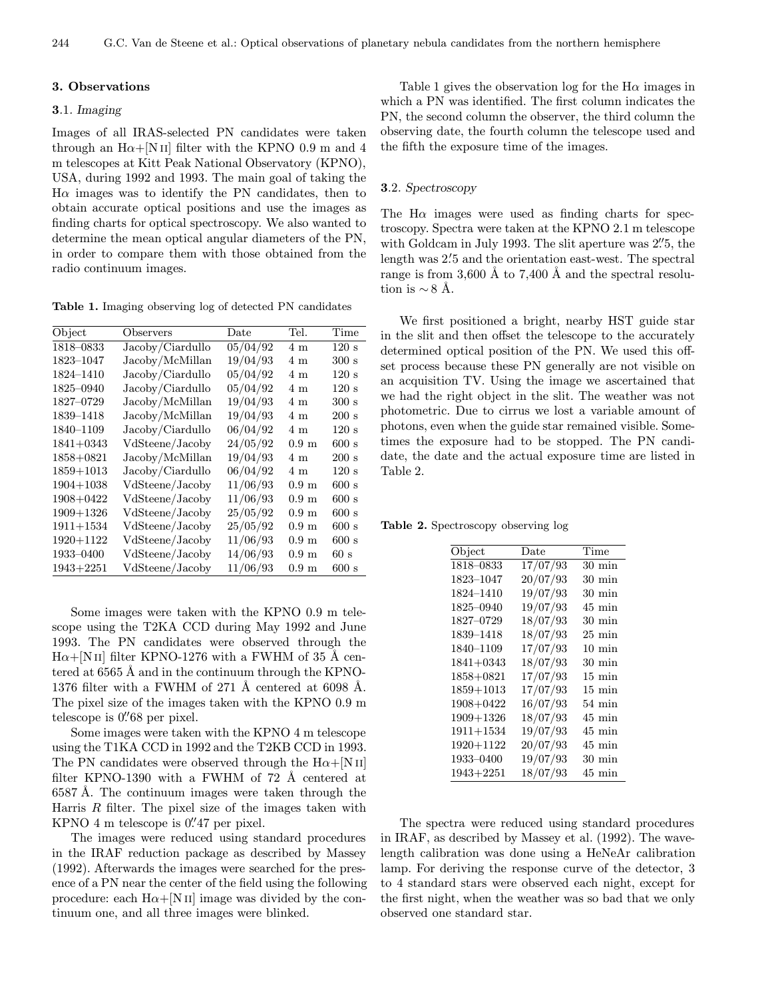### 3. Observations

### 3.1. Imaging

Images of all IRAS-selected PN candidates were taken through an  $H\alpha + [N II]$  filter with the KPNO 0.9 m and 4 m telescopes at Kitt Peak National Observatory (KPNO), USA, during 1992 and 1993. The main goal of taking the  $H\alpha$  images was to identify the PN candidates, then to obtain accurate optical positions and use the images as finding charts for optical spectroscopy. We also wanted to determine the mean optical angular diameters of the PN, in order to compare them with those obtained from the radio continuum images.

Table 1. Imaging observing log of detected PN candidates

| Object        | Observers        | $_{\text{Date}}$ | Tel.             | Time             |
|---------------|------------------|------------------|------------------|------------------|
| $1818 - 0833$ | Jacoby/Ciardullo | 05/04/92         | 4 <sub>m</sub>   | 120 s            |
| 1823-1047     | Jacoby/McMillan  | 19/04/93         | 4 m              | 300 s            |
| 1824-1410     | Jacoby/Ciardullo | 05/04/92         | 4 m              | 120 s            |
| 1825-0940     | Jacoby/Ciardullo | 05/04/92         | 4m               | 120 s            |
| 1827-0729     | Jacoby/McMillan  | 19/04/93         | 4 m              | 300 s            |
| 1839-1418     | Jacoby/McMillan  | 19/04/93         | 4 m              | 200 s            |
| 1840-1109     | Jacoby/Ciardullo | 06/04/92         | 4 <sub>m</sub>   | 120 s            |
| $1841 + 0343$ | VdSteene/Jacoby  | 24/05/92         | $0.9 \text{ m}$  | 600 s            |
| 1858+0821     | Jacoby/McMillan  | 19/04/93         | 4m               | $200~\mathrm{s}$ |
| $1859 + 1013$ | Jacoby/Ciardullo | 06/04/92         | 4m               | 120 s            |
| $1904 + 1038$ | VdSteene/Jacoby  | 11/06/93         | $0.9 \text{ m}$  | 600 s            |
| $1908 + 0422$ | VdSteene/Jacoby  | 11/06/93         | 0.9 <sub>m</sub> | 600 s            |
| $1909 + 1326$ | VdSteene/Jacoby  | 25/05/92         | $0.9 \text{ m}$  | 600 s            |
| $1911 + 1534$ | VdSteene/Jacoby  | 25/05/92         | $0.9 \text{ m}$  | 600 s            |
| $1920 + 1122$ | VdSteene/Jacoby  | 11/06/93         | $0.9 \text{ m}$  | 600 s            |
| 1933-0400     | VdSteene/Jacoby  | 14/06/93         | 0.9 <sub>m</sub> | 60s              |
| $1943 + 2251$ | VdSteene/Jacoby  | 11/06/93         | $0.9 \text{ m}$  | 600 s            |

Some images were taken with the KPNO 0.9 m telescope using the T2KA CCD during May 1992 and June 1993. The PN candidates were observed through the  $H\alpha + [NII]$  filter KPNO-1276 with a FWHM of 35 Å centered at 6565 Å and in the continuum through the KPNO-1376 filter with a FWHM of 271 Å centered at  $6098$  Å. The pixel size of the images taken with the KPNO 0.9 m telescope is  $0.^{\prime\prime}68$  per pixel.

Some images were taken with the KPNO 4 m telescope using the T1KA CCD in 1992 and the T2KB CCD in 1993. The PN candidates were observed through the  $H\alpha + [N II]$ filter KPNO-1390 with a FWHM of  $72$  Å centered at 6587 Å. The continuum images were taken through the Harris  $R$  filter. The pixel size of the images taken with KPNO  $4 \text{ m}$  telescope is  $0.^{\prime\prime}47$  per pixel.

The images were reduced using standard procedures in the IRAF reduction package as described by Massey (1992). Afterwards the images were searched for the presence of a PN near the center of the field using the following procedure: each  $H\alpha + [N II]$  image was divided by the continuum one, and all three images were blinked.

Table 1 gives the observation log for the  $H\alpha$  images in which a PN was identified. The first column indicates the PN, the second column the observer, the third column the observing date, the fourth column the telescope used and the fifth the exposure time of the images.

### 3.2. Spectroscopy

The  $H\alpha$  images were used as finding charts for spectroscopy. Spectra were taken at the KPNO 2.1 m telescope with Goldcam in July 1993. The slit aperture was 2''5, the length was 2.5 and the orientation east-west. The spectral range is from 3,600 Å to 7,400 Å and the spectral resolution is  $\sim$  8 Å.

We first positioned a bright, nearby HST guide star in the slit and then offset the telescope to the accurately determined optical position of the PN. We used this offset process because these PN generally are not visible on an acquisition TV. Using the image we ascertained that we had the right object in the slit. The weather was not photometric. Due to cirrus we lost a variable amount of photons, even when the guide star remained visible. Sometimes the exposure had to be stopped. The PN candidate, the date and the actual exposure time are listed in Table 2.

Table 2. Spectroscopy observing log

| Object        | Date     | Time                |
|---------------|----------|---------------------|
| 1818–0833     | 17/07/93 | $30 \text{ min}$    |
| 1823-1047     | 20/07/93 | $30 \text{ min}$    |
| 1824-1410     | 19/07/93 | $30 \text{ min}$    |
| 1825-0940     | 19/07/93 | $45 \text{ min}$    |
| 1827-0729     | 18/07/93 | $30 \,\mathrm{min}$ |
| 1839-1418     | 18/07/93 | $25 \text{ min}$    |
| 1840-1109     | 17/07/93 | $10 \text{ min}$    |
| $1841 + 0343$ | 18/07/93 | $30 \text{ min}$    |
| 1858+0821     | 17/07/93 | $15 \text{ min}$    |
| $1859 + 1013$ | 17/07/93 | $15 \text{ min}$    |
| 1908+0422     | 16/07/93 | $54 \text{ min}$    |
| $1909 + 1326$ | 18/07/93 | $45 \text{ min}$    |
| $1911 + 1534$ | 19/07/93 | $45 \text{ min}$    |
| $1920 + 1122$ | 20/07/93 | $45 \text{ min}$    |
| 1933-0400     | 19/07/93 | $30 \text{ min}$    |
| $1943 + 2251$ | 18/07/93 | $45 \text{ min}$    |

The spectra were reduced using standard procedures in IRAF, as described by Massey et al. (1992). The wavelength calibration was done using a HeNeAr calibration lamp. For deriving the response curve of the detector, 3 to 4 standard stars were observed each night, except for the first night, when the weather was so bad that we only observed one standard star.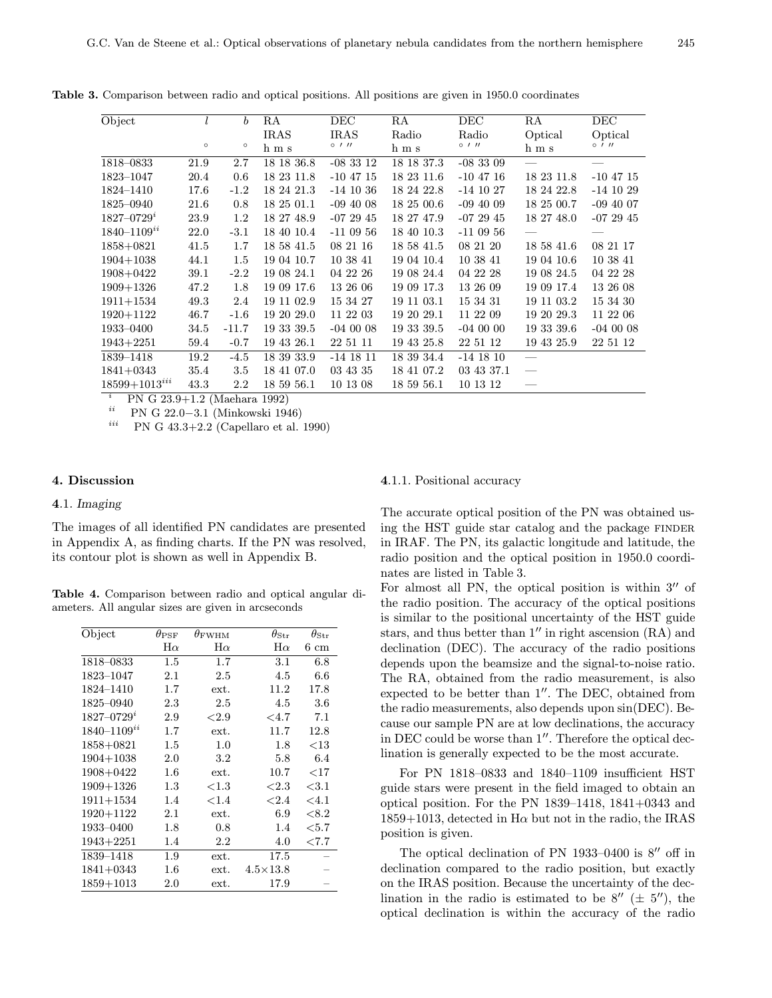| Object                      |         | $\boldsymbol{b}$ | RA          | DEC           | RA         | DEC         | RA         | DEC         |
|-----------------------------|---------|------------------|-------------|---------------|------------|-------------|------------|-------------|
|                             |         |                  | <b>IRAS</b> | <b>IRAS</b>   | Radio      | Radio       | Optical    | Optical     |
|                             | $\circ$ | $\circ$          | h m s       | $0$ / $11$    | h m s      | 011         | h m s      | 0111        |
| 1818-0833                   | 21.9    | 2.7              | 18 18 36.8  | $-083312$     | 18 18 37.3 | $-083309$   |            |             |
| 1823-1047                   | 20.4    | 0.6              | 18 23 11.8  | $-10$ 47 $15$ | 18 23 11.6 | $-10$ 47 16 | 18 23 11.8 | $-10$ 47 15 |
| 1824-1410                   | 17.6    | $-1.2$           | 18 24 21.3  | $-14$ 10 36   | 18 24 22.8 | $-14$ 10 27 | 18 24 22.8 | $-14$ 10 29 |
| 1825-0940                   | 21.6    | 0.8              | 18 25 01.1  | $-094008$     | 18 25 00.6 | $-094009$   | 18 25 00.7 | $-094007$   |
| $1827 - 0729$ <sup>2</sup>  | 23.9    | 1.2              | 18 27 48.9  | $-072945$     | 18 27 47.9 | $-072945$   | 18 27 48.0 | $-072945$   |
| $1840 - 1109$ <sup>ii</sup> | 22.0    | $-3.1$           | 18 40 10.4  | $-110956$     | 18 40 10.3 | $-110956$   |            |             |
| $1858 + 0821$               | 41.5    | 1.7              | 18 58 41.5  | 08 21 16      | 18 58 41.5 | 08 21 20    | 18 58 41.6 | 08 21 17    |
| $1904 + 1038$               | 44.1    | 1.5              | 19 04 10.7  | 10 38 41      | 19 04 10.4 | 10 38 41    | 19 04 10.6 | 10 38 41    |
| 1908+0422                   | 39.1    | $-2.2$           | 19 08 24.1  | 04 22 26      | 19 08 24.4 | 04 22 28    | 19 08 24.5 | 04 22 28    |
| $1909 + 1326$               | 47.2    | 1.8              | 19 09 17.6  | 13 26 06      | 19 09 17.3 | 13 26 09    | 19 09 17.4 | 13 26 08    |
| $1911 + 1534$               | 49.3    | 2.4              | 19 11 02.9  | 15 34 27      | 19 11 03.1 | 15 34 31    | 19 11 03.2 | 15 34 30    |
| 1920+1122                   | 46.7    | $-1.6$           | 19 20 29.0  | 11 22 03      | 19 20 29.1 | 11 22 09    | 19 20 29.3 | 11 22 06    |
| 1933-0400                   | 34.5    | $-11.7$          | 19 33 39.5  | $-040008$     | 19 33 39.5 | $-04000$    | 19 33 39.6 | $-040008$   |
| $1943 + 2251$               | 59.4    | $-0.7$           | 19 43 26.1  | 22 51 11      | 19 43 25.8 | 22 51 12    | 19 43 25.9 | 22 51 12    |
| 1839-1418                   | 19.2    | $-4.5$           | 18 39 33.9  | $-14$ 18 11   | 18 39 34.4 | $-14$ 18 10 |            |             |
| $1841 + 0343$               | 35.4    | 3.5              | 18 41 07.0  | 03 43 35      | 18 41 07.2 | 03 43 37.1  |            |             |
| $18599+1013^{iii}$          | 43.3    | 2.2              | 18 59 56.1  | 10 13 08      | 18 59 56.1 | 10 13 12    |            |             |

Table 3. Comparison between radio and optical positions. All positions are given in 1950.0 coordinates

<sup>i</sup> PN G 23.9+1.2 (Maehara 1992)<br><sup>ii</sup> PN G 22.0, 2.1 (Minkowaki 10)

<sup>11</sup> PN G 22.0−3.1 (Minkowski 1946)<br><sup>*iii*</sup> PN G 43.3+2.2 (Capellaro et al. 1990)

### 4. Discussion

### 4.1. Imaging

The images of all identified PN candidates are presented in Appendix A, as finding charts. If the PN was resolved, its contour plot is shown as well in Appendix B.

Table 4. Comparison between radio and optical angular diameters. All angular sizes are given in arcseconds

| Object                      | $\theta_{\rm PSF}$ | $\theta_{\rm FWHM}$ | $\theta_{\rm Str}$ | $\theta_{\textrm{Str}}$ |
|-----------------------------|--------------------|---------------------|--------------------|-------------------------|
|                             | $H\alpha$          | $_{\rm H\alpha}$    | $H\alpha$          | $6\;\mathrm{cm}$        |
| 1818-0833                   | $1.5\,$            | 1.7                 | $3.1\,$            | $6.8\,$                 |
| 1823-1047                   | 2.1                | 2.5                 | 4.5                | 6.6                     |
| 1824-1410                   | 1.7                | ext.                | 11.2               | 17.8                    |
| 1825-0940                   | $2.3\,$            | $2.5\,$             | 4.5                | $3.6\,$                 |
| $1827 - 0729$ <sup>*</sup>  | 2.9                | ${<}2.9$            | ${}_{<4.7}$        | 7.1                     |
| $1840 - 1109$ <sup>ii</sup> | 1.7                | ext.                | 11.7               | 12.8                    |
| $1858 + 0821$               | $1.5\,$            | 1.0                 | 1.8                | $<$ 13                  |
| $1904 + 1038$               | $2.0\,$            | $3.2\,$             | 5.8                | 6.4                     |
| $1908 + 0422$               | $1.6\,$            | ext.                | 10.7               | $<$ 17                  |
| $1909 + 1326$               | $1.3\,$            | ${<}1.3$            | ${<}2.3$           | ${<}3.1$                |
| $1911 + 1534$               | 1.4                | ${<}1.4$            | ${<}2.4$           | ${<}4.1$                |
| $1920 + 1122$               | $2.1\,$            | ext.                | 6.9                | ${<}8.2$                |
| 1933-0400                   | 1.8                | 0.8                 | $1.4\,$            | $<$ 5.7                 |
| $1943 + 2251$               | 1.4                | 2.2                 | 4.0                | ${<}7.7$                |
| 1839-1418                   | 1.9                | ext.                | 17.5               |                         |
| $1841 + 0343$               | $1.6\,$            | ext.                | $4.5\times13.8$    |                         |
| $1859 + 1013$               | $2.0\,$            | ext.                | 17.9               |                         |

#### 4.1.1. Positional accuracy

The accurate optical position of the PN was obtained using the HST guide star catalog and the package FINDER in IRAF. The PN, its galactic longitude and latitude, the radio position and the optical position in 1950.0 coordinates are listed in Table 3.

For almost all PN, the optical position is within  $3''$  of the radio position. The accuracy of the optical positions is similar to the positional uncertainty of the HST guide stars, and thus better than  $1''$  in right ascension  $(RA)$  and declination (DEC). The accuracy of the radio positions depends upon the beamsize and the signal-to-noise ratio. The RA, obtained from the radio measurement, is also expected to be better than  $1''$ . The DEC, obtained from the radio measurements, also depends upon sin(DEC). Because our sample PN are at low declinations, the accuracy in DEC could be worse than  $1^{\prime\prime}$ . Therefore the optical declination is generally expected to be the most accurate.

For PN 1818–0833 and 1840–1109 insufficient HST guide stars were present in the field imaged to obtain an optical position. For the PN 1839–1418, 1841+0343 and  $1859+1013$ , detected in H $\alpha$  but not in the radio, the IRAS position is given.

The optical declination of PN 1933-0400 is  $8''$  off in declination compared to the radio position, but exactly on the IRAS position. Because the uncertainty of the declination in the radio is estimated to be  $8''$  ( $\pm 5''$ ), the optical declination is within the accuracy of the radio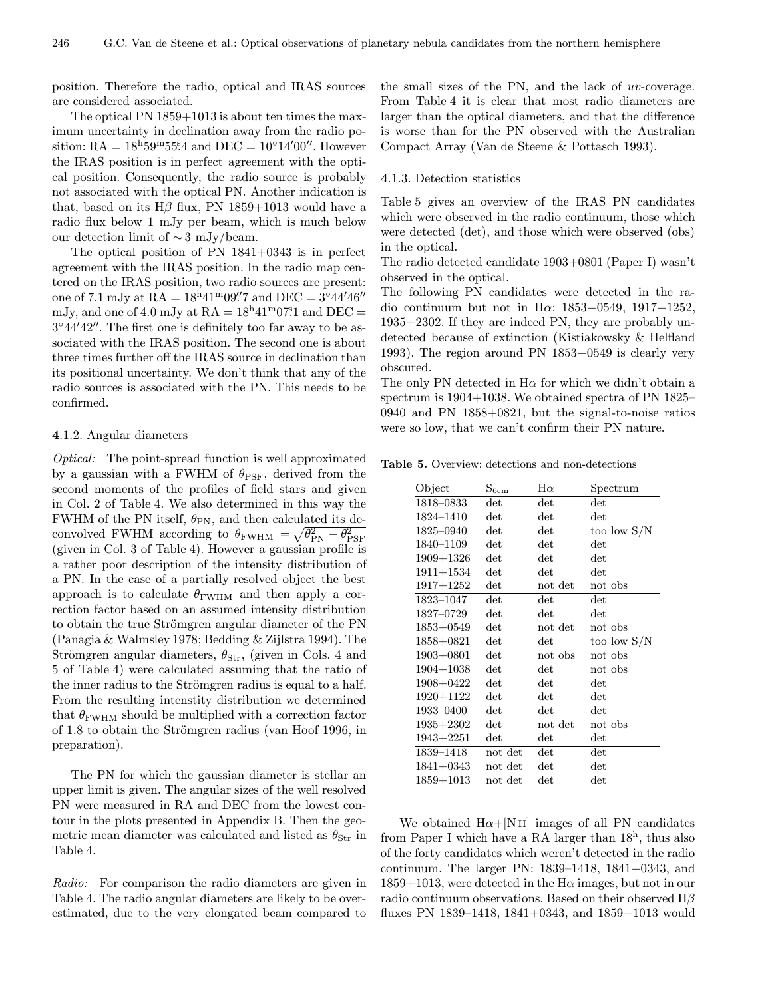position. Therefore the radio, optical and IRAS sources are considered associated.

The optical PN 1859+1013 is about ten times the maximum uncertainty in declination away from the radio position:  $RA = 18<sup>h</sup>59<sup>m</sup>55<sup>s</sup>4$  and  $DEC = 10<sup>o</sup>14'00''.$  However the IRAS position is in perfect agreement with the optical position. Consequently, the radio source is probably not associated with the optical PN. Another indication is that, based on its  $H\beta$  flux, PN 1859+1013 would have a radio flux below 1 mJy per beam, which is much below our detection limit of ∼ 3 mJy/beam.

The optical position of PN 1841+0343 is in perfect agreement with the IRAS position. In the radio map centered on the IRAS position, two radio sources are present: one of 7.1 mJy at  $\text{RA} = 18^{\text{h}} 41^{\text{m}} 09\rlap{.}''7$  and  $\text{DEC} = 3^{\circ} 44' 46''$ mJy, and one of 4.0 mJy at  $RA = 18^{\text{h}}41^{\text{m}}07\overset{\circ}{.}1$  and  $DEC =$  $3°44'42''$ . The first one is definitely too far away to be associated with the IRAS position. The second one is about three times further off the IRAS source in declination than its positional uncertainty. We don't think that any of the radio sources is associated with the PN. This needs to be confirmed.

### 4.1.2. Angular diameters

Optical: The point-spread function is well approximated by a gaussian with a FWHM of  $\theta_{\rm PSF}$ , derived from the second moments of the profiles of field stars and given in Col. 2 of Table 4. We also determined in this way the FWHM of the PN itself,  $\theta_{\rm PN}$ , and then calculated its deconvolved FWHM according to  $\theta_{\text{FWHM}} = \sqrt{\theta_{\text{PN}}^2 - \theta_{\text{PSF}}^2}$ (given in Col. 3 of Table 4). However a gaussian profile is a rather poor description of the intensity distribution of a PN. In the case of a partially resolved object the best approach is to calculate  $\theta_{\rm FWHM}$  and then apply a correction factor based on an assumed intensity distribution to obtain the true Strömgren angular diameter of the PN (Panagia & Walmsley 1978; Bedding & Zijlstra 1994). The Strömgren angular diameters,  $\theta_{\text{Str}}$ , (given in Cols. 4 and 5 of Table 4) were calculated assuming that the ratio of the inner radius to the Strömgren radius is equal to a half. From the resulting intenstity distribution we determined that  $\theta_{\rm FWHM}$  should be multiplied with a correction factor of 1.8 to obtain the Strömgren radius (van Hoof 1996, in preparation).

The PN for which the gaussian diameter is stellar an upper limit is given. The angular sizes of the well resolved PN were measured in RA and DEC from the lowest contour in the plots presented in Appendix B. Then the geometric mean diameter was calculated and listed as  $\theta_{\rm Str}$  in Table 4.

Radio: For comparison the radio diameters are given in Table 4. The radio angular diameters are likely to be overestimated, due to the very elongated beam compared to the small sizes of the PN, and the lack of uv-coverage. From Table 4 it is clear that most radio diameters are larger than the optical diameters, and that the difference is worse than for the PN observed with the Australian Compact Array (Van de Steene & Pottasch 1993).

#### 4.1.3. Detection statistics

Table 5 gives an overview of the IRAS PN candidates which were observed in the radio continuum, those which were detected (det), and those which were observed (obs) in the optical.

The radio detected candidate 1903+0801 (Paper I) wasn't observed in the optical.

The following PN candidates were detected in the radio continuum but not in H $\alpha$ : 1853+0549, 1917+1252, 1935+2302. If they are indeed PN, they are probably undetected because of extinction (Kistiakowsky & Helfland 1993). The region around PN 1853+0549 is clearly very obscured.

The only PN detected in  $H\alpha$  for which we didn't obtain a spectrum is 1904+1038. We obtained spectra of PN 1825– 0940 and PN 1858+0821, but the signal-to-noise ratios were so low, that we can't confirm their PN nature.

Table 5. Overview: detections and non-detections

| Object        | $S_{6cm}$    | $H\alpha$    | Spectrum      |
|---------------|--------------|--------------|---------------|
| 1818-0833     | $_{\rm det}$ | $_{\rm det}$ | det           |
| 1824-1410     | $_{\rm det}$ | $_{\rm det}$ | $_{\rm det}$  |
| 1825-0940     | det          | $_{\rm det}$ | too low $S/N$ |
| 1840-1109     | det          | $_{\rm det}$ | det           |
| $1909 + 1326$ | $_{\rm det}$ | $_{\rm det}$ | $_{\rm det}$  |
| $1911 + 1534$ | det          | $_{\rm det}$ | $_{\rm det}$  |
| $1917 + 1252$ | $_{\rm det}$ | not det      | not obs       |
| 1823-1047     | det          | $_{\rm det}$ | $_{\rm det}$  |
| 1827-0729     | det          | $_{\rm det}$ | $_{\rm det}$  |
| $1853 + 0549$ | $_{\rm det}$ | not det      | not obs       |
| 1858+0821     | det          | $_{\rm det}$ | too low $S/N$ |
| $1903 + 0801$ | $_{\rm det}$ | not obs      | not obs       |
| $1904 + 1038$ | $_{\rm det}$ | $_{\rm det}$ | not obs       |
| 1908+0422     | $_{\rm det}$ | $_{\rm det}$ | $_{\rm det}$  |
| 1920+1122     | $_{\rm det}$ | $_{\rm det}$ | $_{\rm det}$  |
| 1933-0400     | det          | $_{\rm det}$ | $_{\rm det}$  |
| $1935 + 2302$ | $_{\rm det}$ | not det      | not obs       |
| $1943 + 2251$ | $_{\rm det}$ | $_{\rm det}$ | $_{\rm det}$  |
| 1839-1418     | not det      | $_{\rm det}$ | $_{\rm det}$  |
| $1841 + 0343$ | not det      | $_{\rm det}$ | $_{\rm det}$  |
| $1859 + 1013$ | not det      | $_{\rm det}$ | $_{\rm det}$  |

We obtained  $H\alpha + [NII]$  images of all PN candidates from Paper I which have a RA larger than  $18<sup>h</sup>$ , thus also of the forty candidates which weren't detected in the radio continuum. The larger PN: 1839–1418, 1841+0343, and  $1859+1013$ , were detected in the H $\alpha$  images, but not in our radio continuum observations. Based on their observed  $H\beta$ fluxes PN 1839–1418, 1841+0343, and 1859+1013 would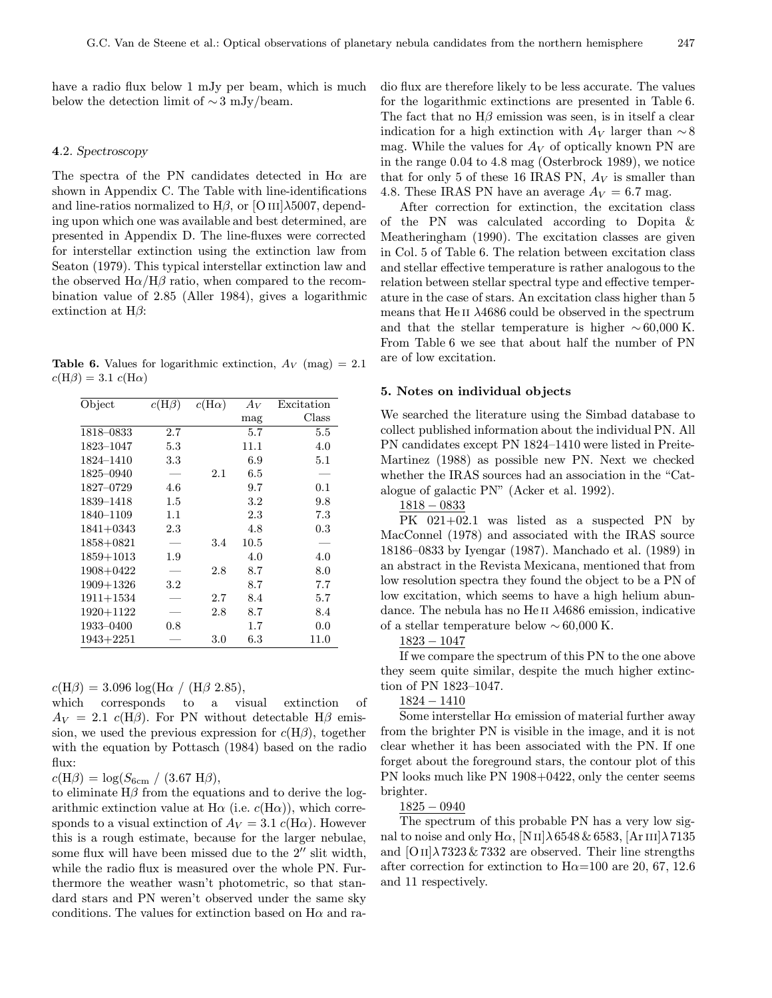have a radio flux below 1 mJy per beam, which is much below the detection limit of  $\sim$  3 mJy/beam.

### 4.2. Spectroscopy

The spectra of the PN candidates detected in  $H\alpha$  are shown in Appendix C. The Table with line-identifications and line-ratios normalized to  $H\beta$ , or [O III] $\lambda$ 5007, depending upon which one was available and best determined, are presented in Appendix D. The line-fluxes were corrected for interstellar extinction using the extinction law from Seaton (1979). This typical interstellar extinction law and the observed  $H\alpha/H\beta$  ratio, when compared to the recombination value of 2.85 (Aller 1984), gives a logarithmic extinction at  $H\beta$ :

**Table 6.** Values for logarithmic extinction,  $A_V$  (mag) = 2.1  $c(H\beta) = 3.1 \; c(H\alpha)$ 

| Object        | $c(H\beta)$ | $c(H\alpha)$ | $A_V$   | Excitation |
|---------------|-------------|--------------|---------|------------|
|               |             |              | mag     | Class      |
| 1818-0833     | 2.7         |              | 5.7     | 5.5        |
| 1823-1047     | 5.3         |              | 11.1    | 4.0        |
| 1824-1410     | $3.3\,$     |              | 6.9     | 5.1        |
| 1825-0940     |             | 2.1          | 6.5     |            |
| 1827-0729     | 4.6         |              | 9.7     | 0.1        |
| 1839-1418     | $1.5\,$     |              | 3.2     | 9.8        |
| 1840–1109     | $1.1\,$     |              | 2.3     | 7.3        |
| $1841 + 0343$ | 2.3         |              | 4.8     | 0.3        |
| 1858+0821     |             | 3.4          | 10.5    |            |
| $1859 + 1013$ | 1.9         |              | 4.0     | 4.0        |
| 1908+0422     |             | 2.8          | 8.7     | 8.0        |
| $1909 + 1326$ | $3.2\,$     |              | 8.7     | 7.7        |
| $1911 + 1534$ |             | 2.7          | 8.4     | 5.7        |
| $1920 + 1122$ |             | 2.8          | 8.7     | 8.4        |
| 1933-0400     | 0.8         |              | $1.7\,$ | 0.0        |
| $1943 + 2251$ |             | 3.0          | $6.3\,$ | 11.0       |

 $c(H\beta) = 3.096 \log(H\alpha / (H\beta 2.85)),$ 

which corresponds to a visual extinction of  $A_V = 2.1$  c(H $\beta$ ). For PN without detectable H $\beta$  emission, we used the previous expression for  $c(H\beta)$ , together with the equation by Pottasch (1984) based on the radio flux:

 $c(H\beta) = \log(S_{6cm} / (3.67 \text{ H}\beta)),$ 

to eliminate  $H\beta$  from the equations and to derive the logarithmic extinction value at H $\alpha$  (i.e.  $c(H\alpha)$ ), which corresponds to a visual extinction of  $A_V = 3.1$  c(H $\alpha$ ). However this is a rough estimate, because for the larger nebulae, some flux will have been missed due to the  $2^{\prime\prime}$  slit width, while the radio flux is measured over the whole PN. Furthermore the weather wasn't photometric, so that standard stars and PN weren't observed under the same sky conditions. The values for extinction based on  $H\alpha$  and radio flux are therefore likely to be less accurate. The values for the logarithmic extinctions are presented in Table 6. The fact that no  $H\beta$  emission was seen, is in itself a clear indication for a high extinction with  $A_V$  larger than  $\sim$  8 mag. While the values for  $A_V$  of optically known PN are in the range 0.04 to 4.8 mag (Osterbrock 1989), we notice that for only 5 of these 16 IRAS PN,  $A_V$  is smaller than 4.8. These IRAS PN have an average  $A_V = 6.7$  mag.

After correction for extinction, the excitation class of the PN was calculated according to Dopita & Meatheringham (1990). The excitation classes are given in Col. 5 of Table 6. The relation between excitation class and stellar effective temperature is rather analogous to the relation between stellar spectral type and effective temperature in the case of stars. An excitation class higher than 5 means that He II  $\lambda$ 4686 could be observed in the spectrum and that the stellar temperature is higher  $\sim 60,000$  K. From Table 6 we see that about half the number of PN are of low excitation.

#### 5. Notes on individual objects

We searched the literature using the Simbad database to collect published information about the individual PN. All PN candidates except PN 1824–1410 were listed in Preite-Martinez (1988) as possible new PN. Next we checked whether the IRAS sources had an association in the "Catalogue of galactic PN" (Acker et al. 1992).

1818 − 0833

PK 021+02.1 was listed as a suspected PN by MacConnel (1978) and associated with the IRAS source 18186–0833 by Iyengar (1987). Manchado et al. (1989) in an abstract in the Revista Mexicana, mentioned that from low resolution spectra they found the object to be a PN of low excitation, which seems to have a high helium abundance. The nebula has no He II  $\lambda$ 4686 emission, indicative of a stellar temperature below  $\sim 60,000$  K.

1823 − 1047

If we compare the spectrum of this PN to the one above they seem quite similar, despite the much higher extinction of PN 1823–1047.

1824 − 1410

Some interstellar  $H\alpha$  emission of material further away from the brighter PN is visible in the image, and it is not clear whether it has been associated with the PN. If one forget about the foreground stars, the contour plot of this PN looks much like PN 1908+0422, only the center seems brighter.

#### 1825 − 0940

The spectrum of this probable PN has a very low signal to noise and only H $\alpha$ , [N<sub>II</sub>] $\lambda$ 6548 & 6583, [Ar<sub>III</sub>] $\lambda$ 7135 and  $[OII]\lambda7323 \& 7332$  are observed. Their line strengths after correction for extinction to  $H\alpha=100$  are 20, 67, 12.6 and 11 respectively.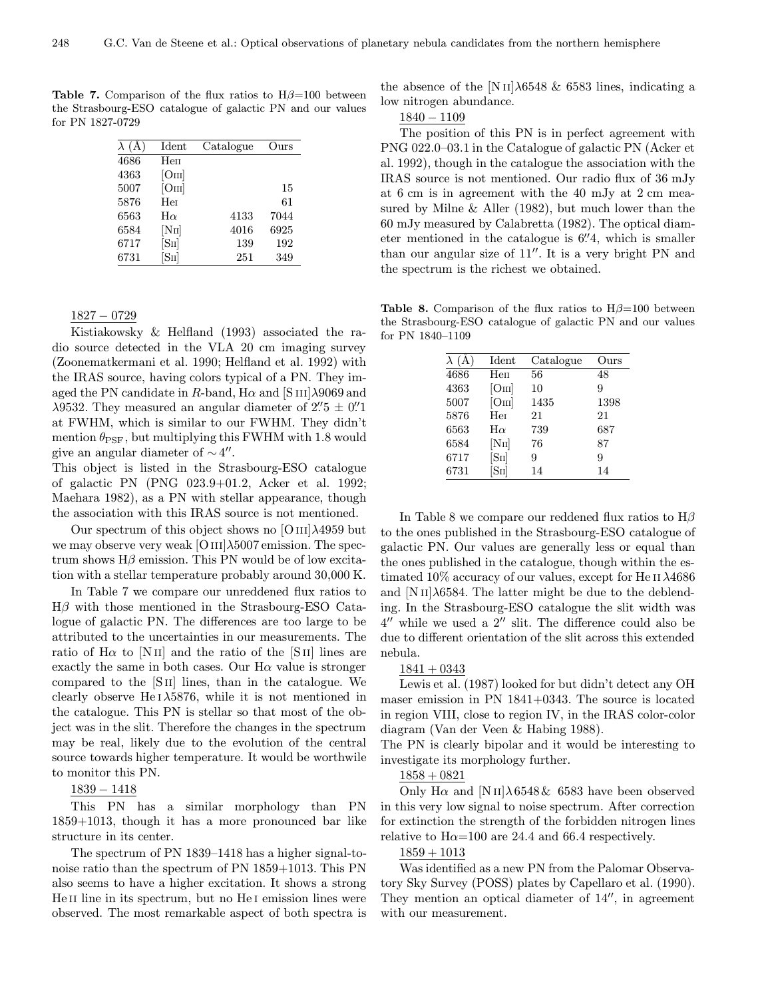**Table 7.** Comparison of the flux ratios to  $H\beta=100$  between the Strasbourg-ESO catalogue of galactic PN and our values for PN 1827-0729

| $\lambda(A)$ | Ident               | Catalogue | Ours |
|--------------|---------------------|-----------|------|
| 4686         | Неп                 |           |      |
| 4363         | [OIII]              |           |      |
| 5007         | [O <sub>III</sub> ] |           | 15   |
| 5876         | Her                 |           | 61   |
| 6563         | $H\alpha$           | 4133      | 7044 |
| 6584         | [NII]               | 4016      | 6925 |
| 6717         | [SII]               | 139       | 192  |
| 6731         | ſSнl                | 251       | 349  |

1827 − 0729

Kistiakowsky & Helfland (1993) associated the radio source detected in the VLA 20 cm imaging survey (Zoonematkermani et al. 1990; Helfland et al. 1992) with the IRAS source, having colors typical of a PN. They imaged the PN candidate in R-band,  $H\alpha$  and  $[SIII]\lambda9069$  and  $\lambda$ 9532. They measured an angular diameter of 2'' 5  $\pm$  0''<sup>1</sup> at FWHM, which is similar to our FWHM. They didn't mention  $\theta_{\text{PSF}}$ , but multiplying this FWHM with 1.8 would give an angular diameter of  $\sim$  4".

This object is listed in the Strasbourg-ESO catalogue of galactic PN (PNG 023.9+01.2, Acker et al. 1992; Maehara 1982), as a PN with stellar appearance, though the association with this IRAS source is not mentioned.

Our spectrum of this object shows no  $[OIII]\lambda4959$  but we may observe very weak [O III] $\lambda$ 5007 emission. The spectrum shows  $H\beta$  emission. This PN would be of low excitation with a stellar temperature probably around 30,000 K.

In Table 7 we compare our unreddened flux ratios to  $H\beta$  with those mentioned in the Strasbourg-ESO Catalogue of galactic PN. The differences are too large to be attributed to the uncertainties in our measurements. The ratio of  $H\alpha$  to [N II] and the ratio of the [S II] lines are exactly the same in both cases. Our  $H\alpha$  value is stronger compared to the [S ii] lines, than in the catalogue. We clearly observe He  $1\lambda$ 5876, while it is not mentioned in the catalogue. This PN is stellar so that most of the object was in the slit. Therefore the changes in the spectrum may be real, likely due to the evolution of the central source towards higher temperature. It would be worthwile to monitor this PN.

### 1839 − 1418

This PN has a similar morphology than PN 1859+1013, though it has a more pronounced bar like structure in its center.

The spectrum of PN 1839–1418 has a higher signal-tonoise ratio than the spectrum of PN 1859+1013. This PN also seems to have a higher excitation. It shows a strong He II line in its spectrum, but no He I emission lines were observed. The most remarkable aspect of both spectra is the absence of the [N II] $\lambda$ 6548 & 6583 lines, indicating a low nitrogen abundance.

1840 − 1109

The position of this PN is in perfect agreement with PNG 022.0–03.1 in the Catalogue of galactic PN (Acker et al. 1992), though in the catalogue the association with the IRAS source is not mentioned. Our radio flux of 36 mJy at 6 cm is in agreement with the 40 mJy at 2 cm measured by Milne & Aller (1982), but much lower than the 60 mJy measured by Calabretta (1982). The optical diameter mentioned in the catalogue is  $6\rlap{.}^{\prime\prime}4$ , which is smaller than our angular size of  $11''$ . It is a very bright PN and the spectrum is the richest we obtained.

**Table 8.** Comparison of the flux ratios to  $H\beta=100$  between the Strasbourg-ESO catalogue of galactic PN and our values for PN 1840–1109

|      | Ident     | Catalogue | Ours |
|------|-----------|-----------|------|
| 4686 | Hen       | 56        | 48   |
| 4363 | [OIII]    | 10        | 9    |
| 5007 | [OIII]    | 1435      | 1398 |
| 5876 | Her       | 21        | 21   |
| 6563 | $H\alpha$ | 739       | 687  |
| 6584 | [NII]     | 76        | 87   |
| 6717 | [SII]     | 9         | 9    |
| 6731 | ſSн       | 14        | 14   |

In Table 8 we compare our reddened flux ratios to  $H\beta$ to the ones published in the Strasbourg-ESO catalogue of galactic PN. Our values are generally less or equal than the ones published in the catalogue, though within the estimated  $10\%$  accuracy of our values, except for He II  $\lambda$ 4686 and  $[NII]\lambda 6584$ . The latter might be due to the deblending. In the Strasbourg-ESO catalogue the slit width was  $4^{\prime\prime}$  while we used a  $2^{\prime\prime}$  slit. The difference could also be due to different orientation of the slit across this extended nebula.

#### $1841 + 0343$

Lewis et al. (1987) looked for but didn't detect any OH maser emission in PN 1841+0343. The source is located in region VIII, close to region IV, in the IRAS color-color diagram (Van der Veen & Habing 1988).

The PN is clearly bipolar and it would be interesting to investigate its morphology further.

### $1858 + 0821$

Only H $\alpha$  and [N II] $\lambda$  6548 & 6583 have been observed in this very low signal to noise spectrum. After correction for extinction the strength of the forbidden nitrogen lines relative to  $H\alpha=100$  are 24.4 and 66.4 respectively.

### $1859 + 1013$

Was identified as a new PN from the Palomar Observatory Sky Survey (POSS) plates by Capellaro et al. (1990). They mention an optical diameter of  $14$ <sup> $\prime\prime$ </sup>, in agreement with our measurement.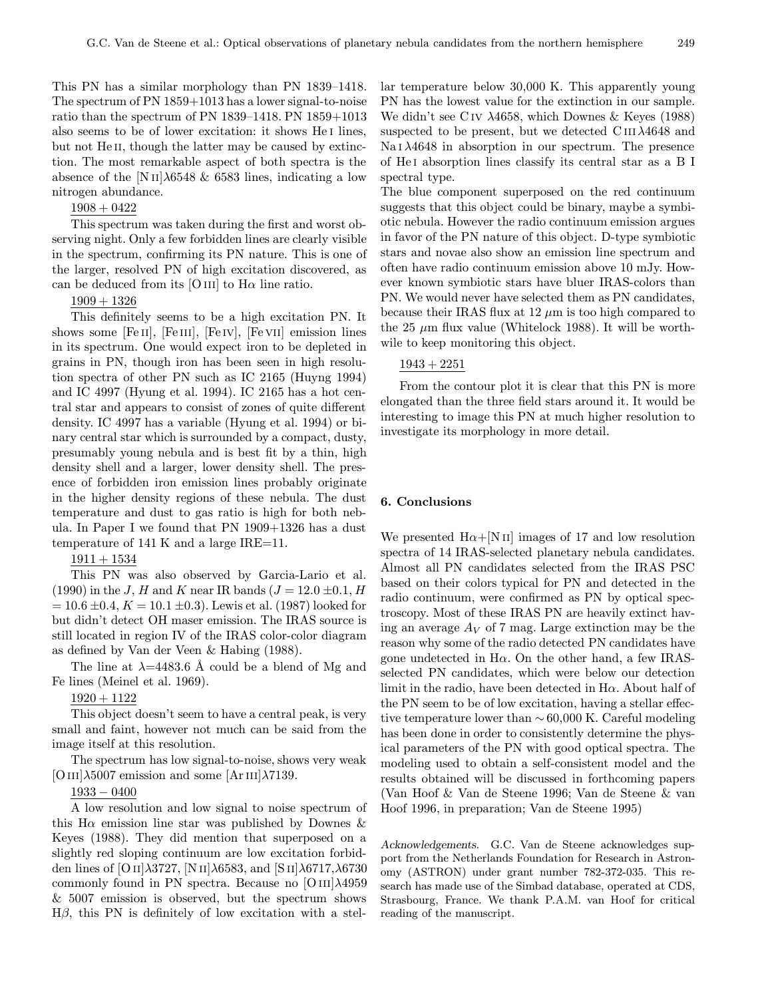This PN has a similar morphology than PN 1839–1418. The spectrum of PN 1859+1013 has a lower signal-to-noise ratio than the spectrum of PN 1839–1418. PN 1859+1013 also seems to be of lower excitation: it shows He i lines, but not He<sub>II</sub>, though the latter may be caused by extinction. The most remarkable aspect of both spectra is the absence of the  $[N II]\lambda 6548 \& 6583$  lines, indicating a low nitrogen abundance.

### 1908 + 0422

This spectrum was taken during the first and worst observing night. Only a few forbidden lines are clearly visible in the spectrum, confirming its PN nature. This is one of the larger, resolved PN of high excitation discovered, as can be deduced from its [O III] to  $H\alpha$  line ratio.

### $1909 + 1326$

This definitely seems to be a high excitation PN. It shows some [Fe II], [Fe III], [Fe IV], [Fe VII] emission lines in its spectrum. One would expect iron to be depleted in grains in PN, though iron has been seen in high resolution spectra of other PN such as IC 2165 (Huyng 1994) and IC 4997 (Hyung et al. 1994). IC 2165 has a hot central star and appears to consist of zones of quite different density. IC 4997 has a variable (Hyung et al. 1994) or binary central star which is surrounded by a compact, dusty, presumably young nebula and is best fit by a thin, high density shell and a larger, lower density shell. The presence of forbidden iron emission lines probably originate in the higher density regions of these nebula. The dust temperature and dust to gas ratio is high for both nebula. In Paper I we found that PN 1909+1326 has a dust temperature of 141 K and a large IRE=11.

### $1911 + 1534$

This PN was also observed by Garcia-Lario et al. (1990) in the J, H and K near IR bands ( $J = 12.0 \pm 0.1$ , H  $= 10.6 \pm 0.4, K = 10.1 \pm 0.3$ . Lewis et al. (1987) looked for but didn't detect OH maser emission. The IRAS source is still located in region IV of the IRAS color-color diagram as defined by Van der Veen & Habing (1988).

The line at  $\lambda$ =4483.6 Å could be a blend of Mg and Fe lines (Meinel et al. 1969).

### 1920 + 1122

This object doesn't seem to have a central peak, is very small and faint, however not much can be said from the image itself at this resolution.

The spectrum has low signal-to-noise, shows very weak [O III] $\lambda$ 5007 emission and some [Ar III] $\lambda$ 7139.

#### 1933 − 0400

A low resolution and low signal to noise spectrum of this H $\alpha$  emission line star was published by Downes & Keyes (1988). They did mention that superposed on a slightly red sloping continuum are low excitation forbidden lines of [O II] $\lambda$ 3727, [N II] $\lambda$ 6583, and [S II] $\lambda$ 6717, $\lambda$ 6730 commonly found in PN spectra. Because no  $[OIII]\lambda4959$ & 5007 emission is observed, but the spectrum shows  $H\beta$ , this PN is definitely of low excitation with a stellar temperature below 30,000 K. This apparently young PN has the lowest value for the extinction in our sample. We didn't see C iv λ4658, which Downes & Keyes (1988) suspected to be present, but we detected  $C \text{III} \lambda 4648$  and Na  $1 \lambda 4648$  in absorption in our spectrum. The presence of He i absorption lines classify its central star as a B I spectral type.

The blue component superposed on the red continuum suggests that this object could be binary, maybe a symbiotic nebula. However the radio continuum emission argues in favor of the PN nature of this object. D-type symbiotic stars and novae also show an emission line spectrum and often have radio continuum emission above 10 mJy. However known symbiotic stars have bluer IRAS-colors than PN. We would never have selected them as PN candidates, because their IRAS flux at 12  $\mu$ m is too high compared to the 25  $\mu$ m flux value (Whitelock 1988). It will be worthwile to keep monitoring this object.

### $1943 + 2251$

From the contour plot it is clear that this PN is more elongated than the three field stars around it. It would be interesting to image this PN at much higher resolution to investigate its morphology in more detail.

#### 6. Conclusions

We presented  $H\alpha + [N II]$  images of 17 and low resolution spectra of 14 IRAS-selected planetary nebula candidates. Almost all PN candidates selected from the IRAS PSC based on their colors typical for PN and detected in the radio continuum, were confirmed as PN by optical spectroscopy. Most of these IRAS PN are heavily extinct having an average  $A_V$  of 7 mag. Large extinction may be the reason why some of the radio detected PN candidates have gone undetected in  $H\alpha$ . On the other hand, a few IRASselected PN candidates, which were below our detection limit in the radio, have been detected in  $H\alpha$ . About half of the PN seem to be of low excitation, having a stellar effective temperature lower than  $\sim 60,000$  K. Careful modeling has been done in order to consistently determine the physical parameters of the PN with good optical spectra. The modeling used to obtain a self-consistent model and the results obtained will be discussed in forthcoming papers (Van Hoof & Van de Steene 1996; Van de Steene & van Hoof 1996, in preparation; Van de Steene 1995)

Acknowledgements. G.C. Van de Steene acknowledges support from the Netherlands Foundation for Research in Astronomy (ASTRON) under grant number 782-372-035. This research has made use of the Simbad database, operated at CDS, Strasbourg, France. We thank P.A.M. van Hoof for critical reading of the manuscript.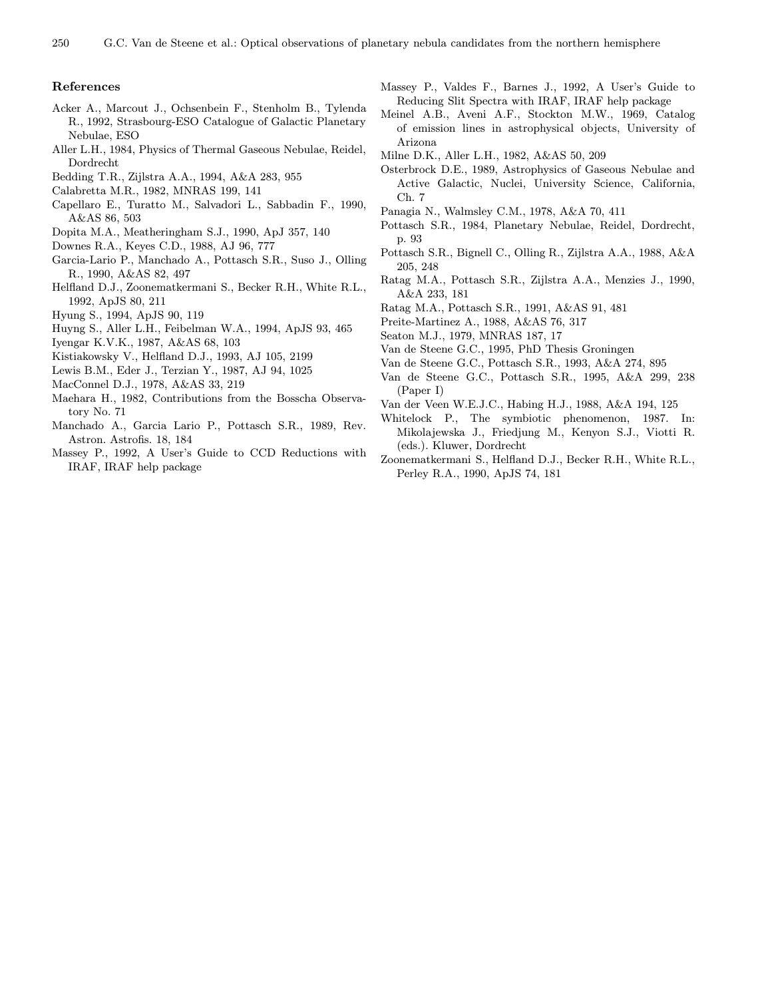### References

- Acker A., Marcout J., Ochsenbein F., Stenholm B., Tylenda R., 1992, Strasbourg-ESO Catalogue of Galactic Planetary Nebulae, ESO
- Aller L.H., 1984, Physics of Thermal Gaseous Nebulae, Reidel, Dordrecht
- Bedding T.R., Zijlstra A.A., 1994, A&A 283, 955
- Calabretta M.R., 1982, MNRAS 199, 141
- Capellaro E., Turatto M., Salvadori L., Sabbadin F., 1990, A&AS 86, 503
- Dopita M.A., Meatheringham S.J., 1990, ApJ 357, 140
- Downes R.A., Keyes C.D., 1988, AJ 96, 777
- Garcia-Lario P., Manchado A., Pottasch S.R., Suso J., Olling R., 1990, A&AS 82, 497
- Helfland D.J., Zoonematkermani S., Becker R.H., White R.L., 1992, ApJS 80, 211
- Hyung S., 1994, ApJS 90, 119
- Huyng S., Aller L.H., Feibelman W.A., 1994, ApJS 93, 465
- Iyengar K.V.K., 1987, A&AS 68, 103
- Kistiakowsky V., Helfland D.J., 1993, AJ 105, 2199
- Lewis B.M., Eder J., Terzian Y., 1987, AJ 94, 1025
- MacConnel D.J., 1978, A&AS 33, 219
- Maehara H., 1982, Contributions from the Bosscha Observatory No. 71
- Manchado A., Garcia Lario P., Pottasch S.R., 1989, Rev. Astron. Astrofis. 18, 184
- Massey P., 1992, A User's Guide to CCD Reductions with IRAF, IRAF help package
- Massey P., Valdes F., Barnes J., 1992, A User's Guide to Reducing Slit Spectra with IRAF, IRAF help package
- Meinel A.B., Aveni A.F., Stockton M.W., 1969, Catalog of emission lines in astrophysical objects, University of Arizona
- Milne D.K., Aller L.H., 1982, A&AS 50, 209
- Osterbrock D.E., 1989, Astrophysics of Gaseous Nebulae and Active Galactic, Nuclei, University Science, California, Ch. 7
- Panagia N., Walmsley C.M., 1978, A&A 70, 411
- Pottasch S.R., 1984, Planetary Nebulae, Reidel, Dordrecht, p. 93
- Pottasch S.R., Bignell C., Olling R., Zijlstra A.A., 1988, A&A 205, 248
- Ratag M.A., Pottasch S.R., Zijlstra A.A., Menzies J., 1990, A&A 233, 181
- Ratag M.A., Pottasch S.R., 1991, A&AS 91, 481
- Preite-Martinez A., 1988, A&AS 76, 317
- Seaton M.J., 1979, MNRAS 187, 17
- Van de Steene G.C., 1995, PhD Thesis Groningen
- Van de Steene G.C., Pottasch S.R., 1993, A&A 274, 895
- Van de Steene G.C., Pottasch S.R., 1995, A&A 299, 238 (Paper I)
- Van der Veen W.E.J.C., Habing H.J., 1988, A&A 194, 125
- Whitelock P., The symbiotic phenomenon, 1987. In: Mikolajewska J., Friedjung M., Kenyon S.J., Viotti R. (eds.). Kluwer, Dordrecht
- Zoonematkermani S., Helfland D.J., Becker R.H., White R.L., Perley R.A., 1990, ApJS 74, 181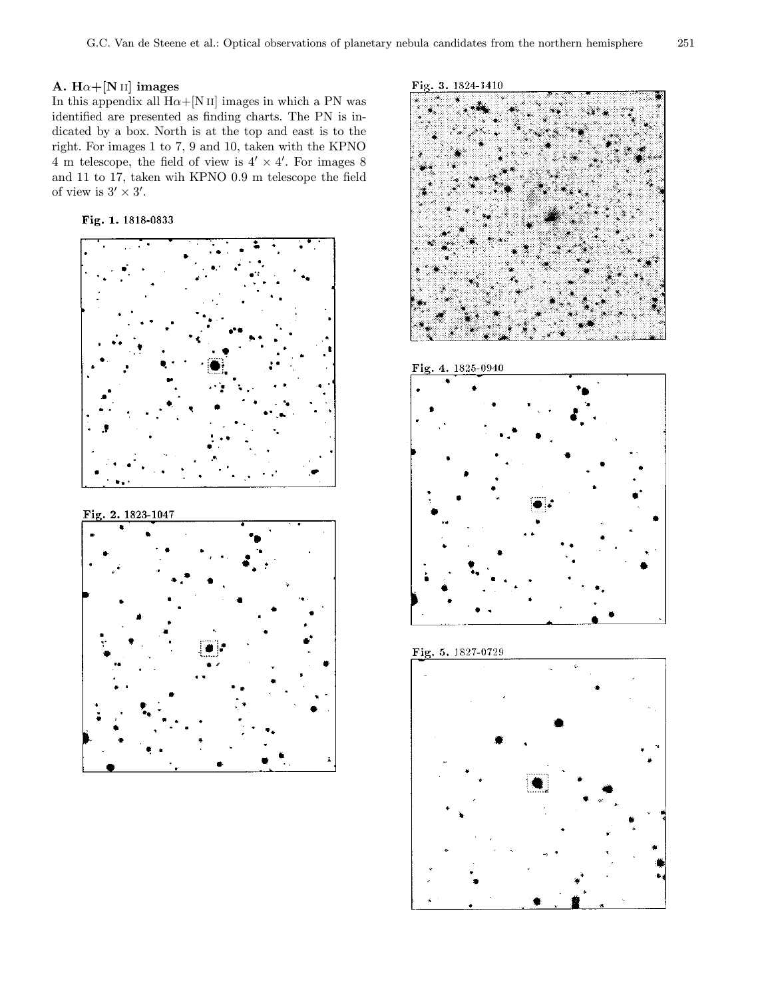### A.  $H\alpha + [N II]$  images

In this appendix all  $H\alpha + [N II]$  images in which a PN was identified are presented as finding charts. The PN is indicated by a box. North is at the top and east is to the right. For images 1 to 7, 9 and 10, taken with the KPNO 4 m telescope, the field of view is  $4' \times 4'$ . For images 8 and 11 to 17, taken wih KPNO 0.9 m telescope the field of view is  $3' \times 3'$ .

Fig. 1. 1818-0833



Fig. 3. 1824-1410









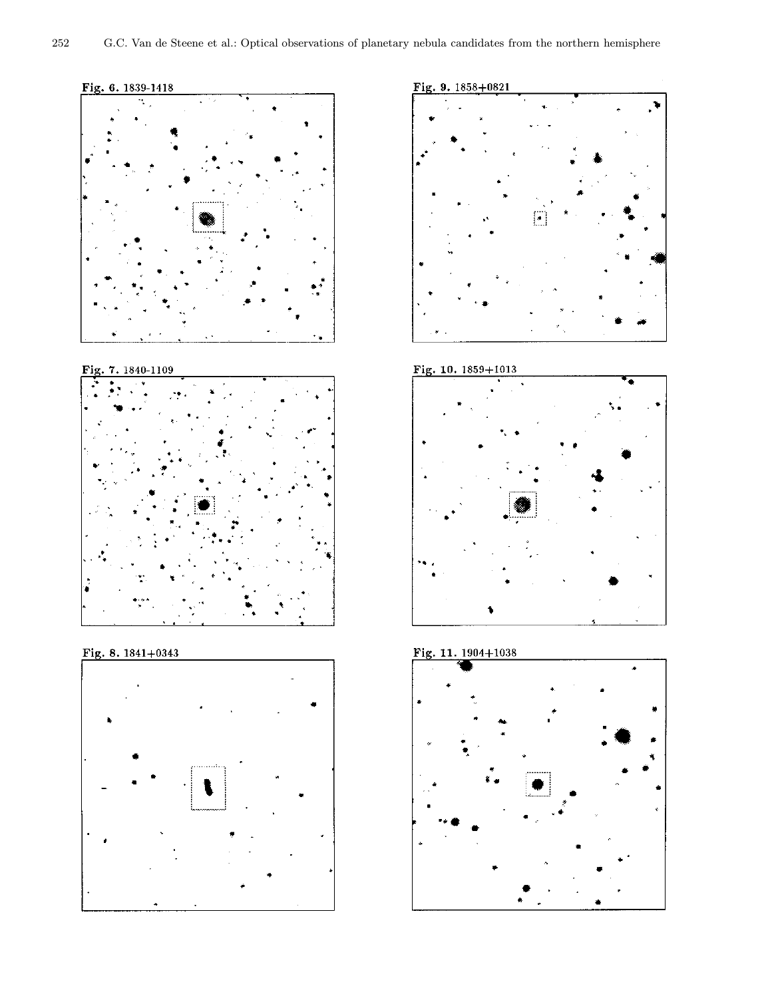



#### 7.1840-1109 Fig



# Fig. 8.  $1841+0343$





## Fig. 10. 1859+1013





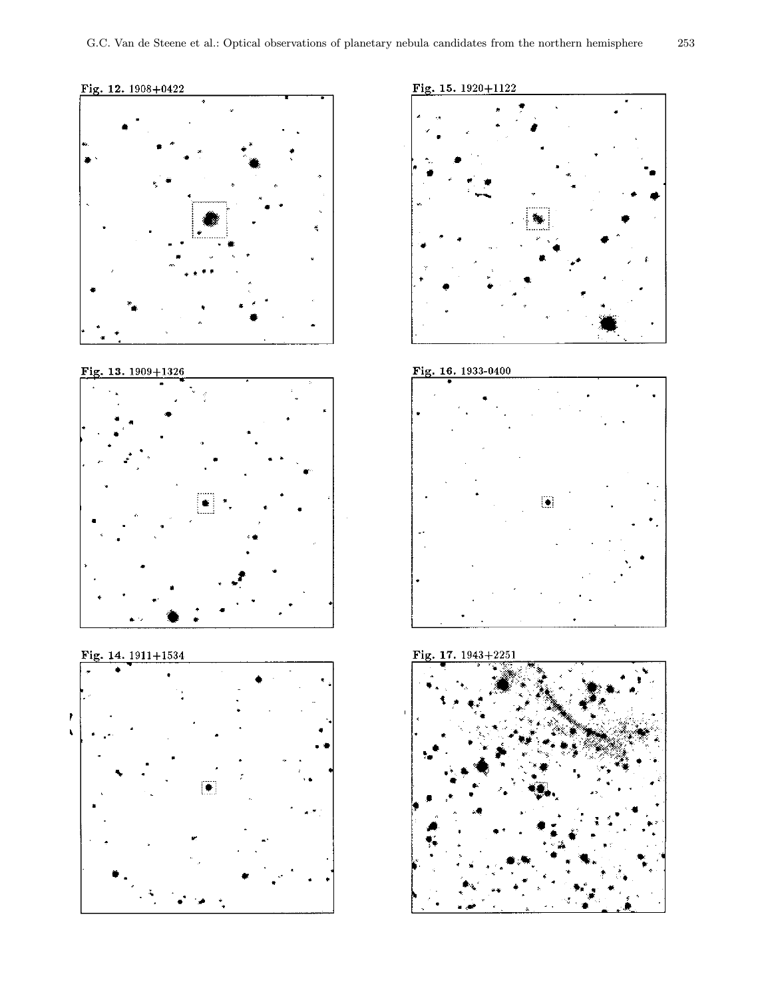

#### Fig. 13. 1909+1326



### Fig. 14. 1911+1534



### Fig. 15. 1920+1122



### Fig. 16. 1933-0400





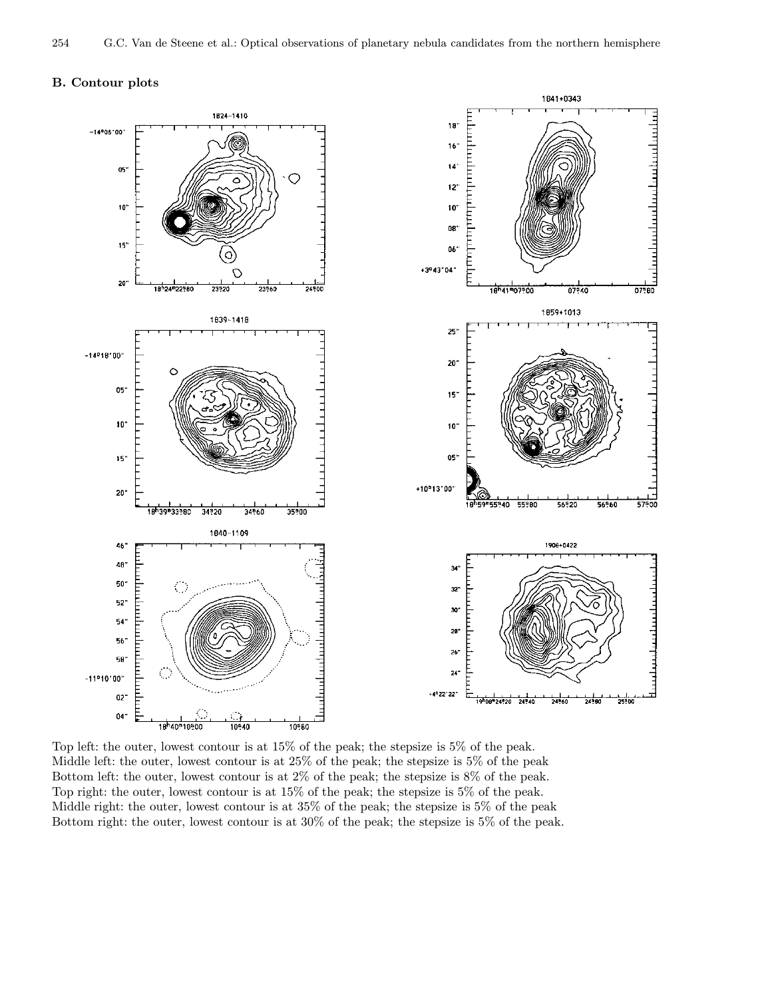### B. Contour plots



Top left: the outer, lowest contour is at 15% of the peak; the stepsize is 5% of the peak. Middle left: the outer, lowest contour is at 25% of the peak; the stepsize is 5% of the peak Bottom left: the outer, lowest contour is at 2% of the peak; the stepsize is 8% of the peak. Top right: the outer, lowest contour is at 15% of the peak; the stepsize is 5% of the peak. Middle right: the outer, lowest contour is at 35% of the peak; the stepsize is 5% of the peak Bottom right: the outer, lowest contour is at 30% of the peak; the stepsize is 5% of the peak.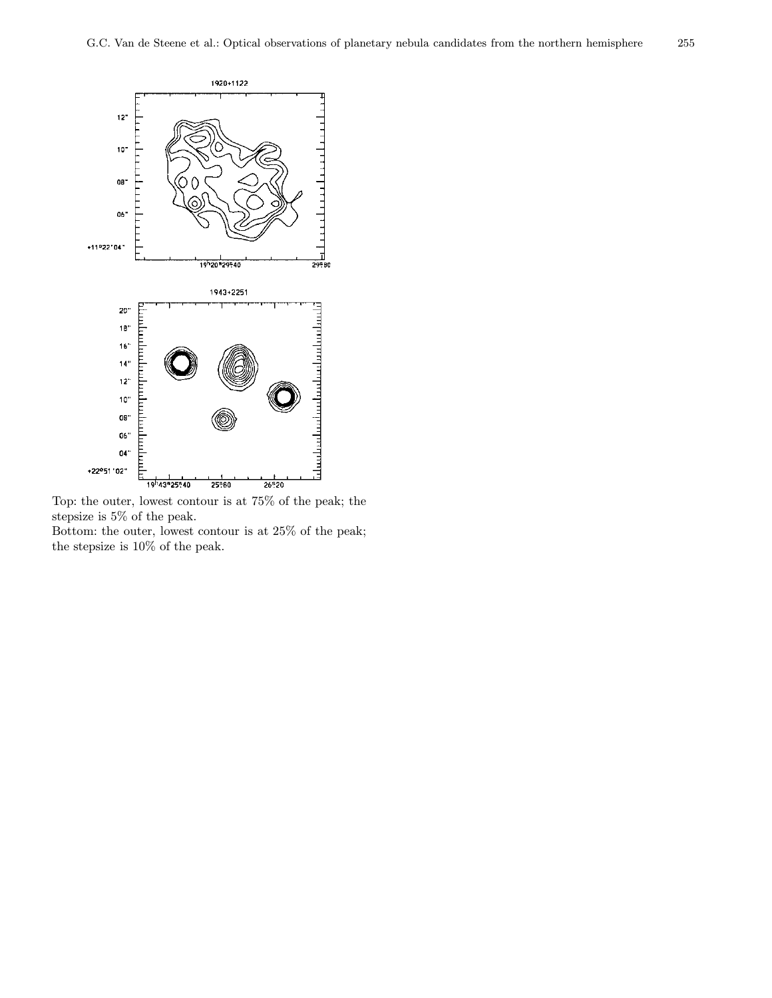

Top: the outer, lowest contour is at 75% of the peak; the stepsize is 5% of the peak.

Bottom: the outer, lowest contour is at 25% of the peak; the stepsize is 10% of the peak.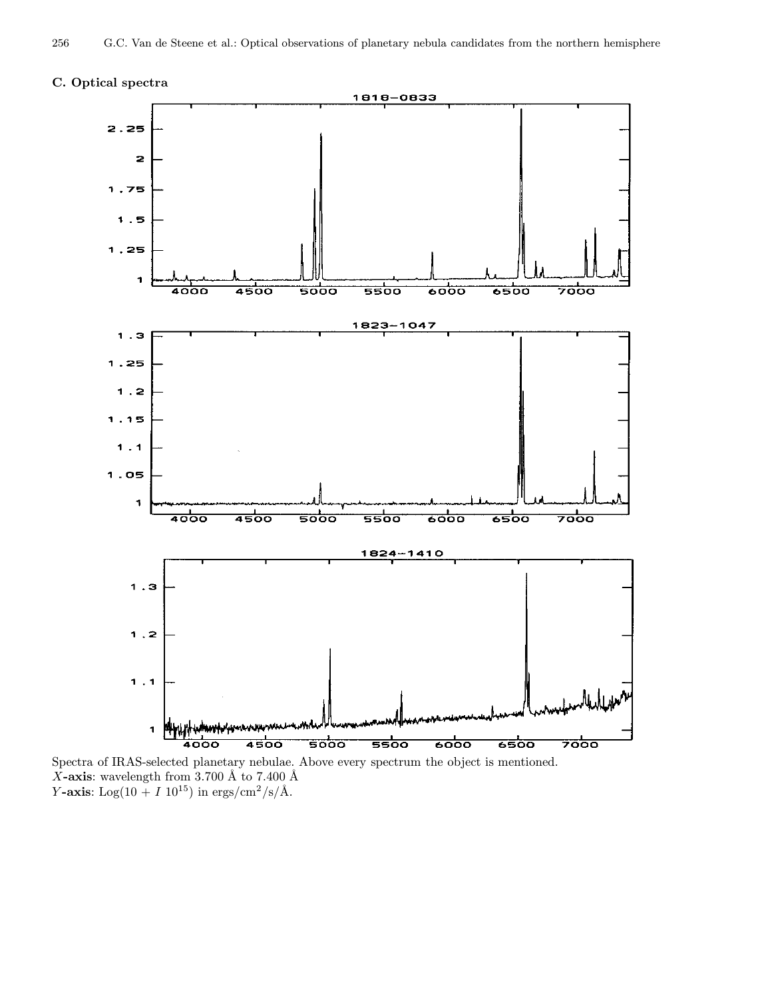



Spectra of IRAS-selected planetary nebulae. Above every spectrum the object is mentioned.  $X$ -axis: wavelength from 3.700 Å to 7.400 Å Y-axis:  $\text{Log}(10 + I\ 10^{15})$  in ergs/cm<sup>2</sup>/s/Å.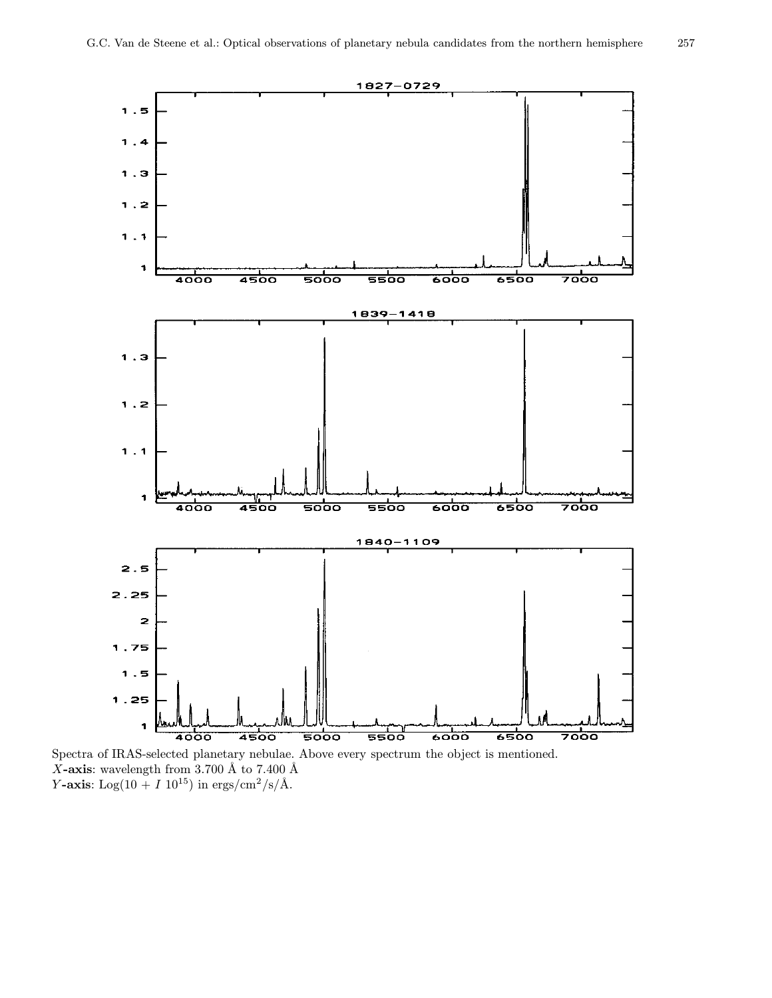

Spectra of IRAS-selected planetary nebulae. Above every spectrum the object is mentioned. X-axis: wavelength from 3.700 Å to 7.400 Å Y-axis:  $\text{Log}(10 + I\ 10^{15})$  in ergs/cm<sup>2</sup>/s/Å.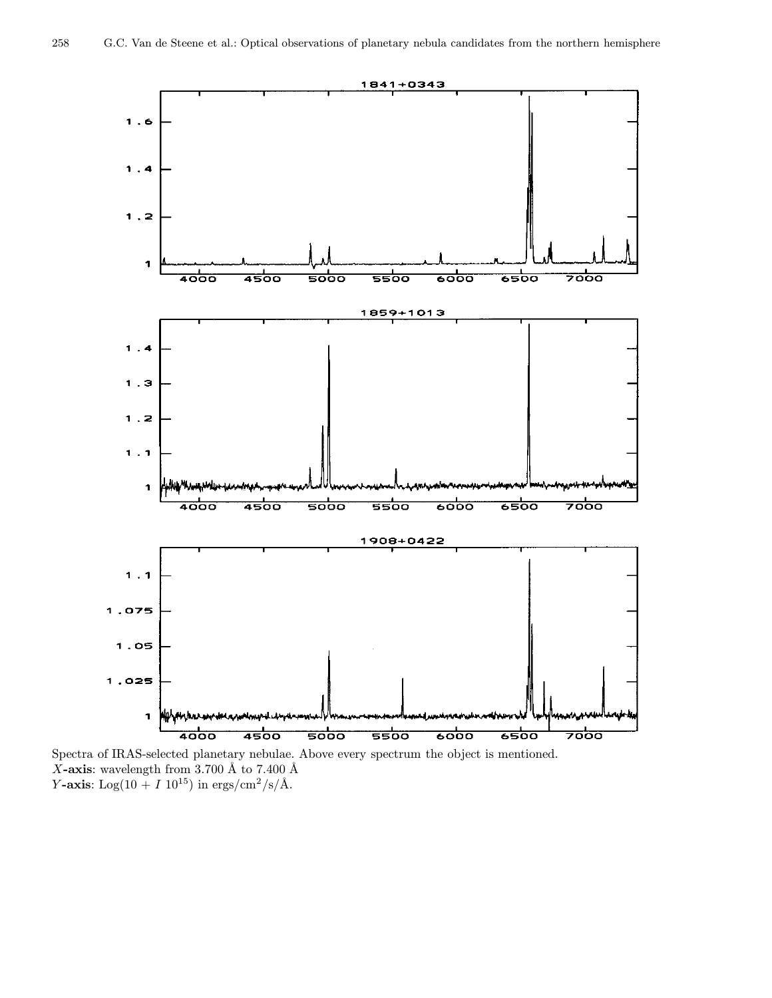

Spectra of IRAS-selected planetary nebulae. Above every spectrum the object is mentioned. X-axis: wavelength from 3.700 Å to 7.400 Å Y-axis:  $\text{Log}(10 + I\ 10^{15})$  in ergs/cm<sup>2</sup>/s/Å.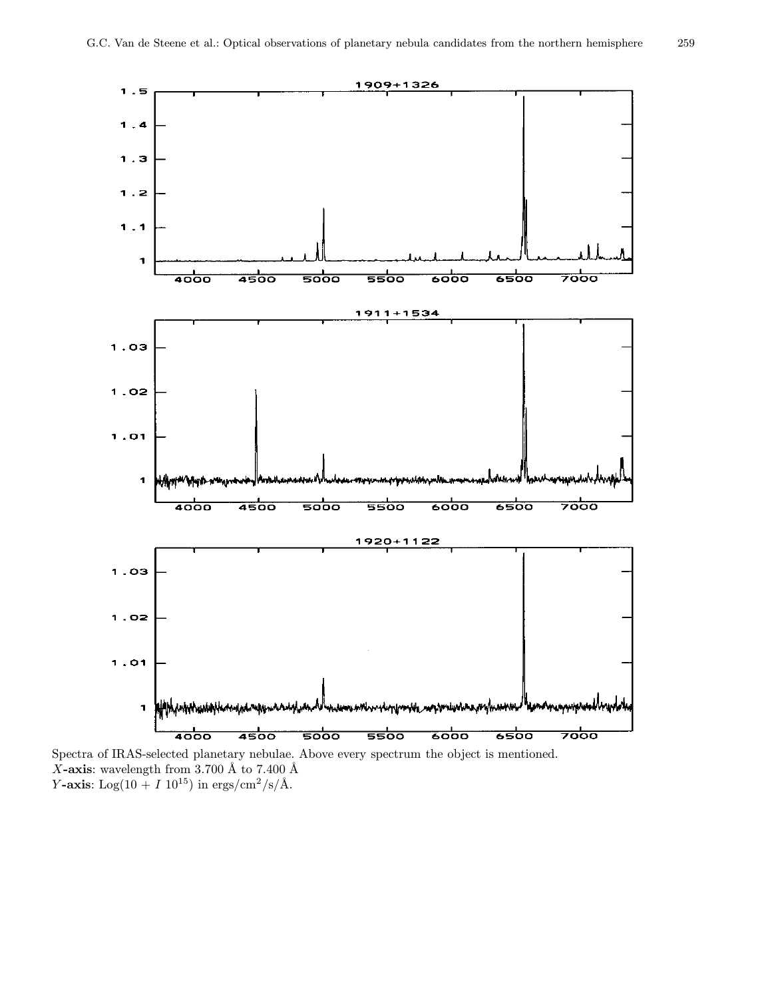$1.5$ 

 $1.4$ 

 $1.3$ 

 $1.2$ 

 $1.1$ 





Spectra of IRAS-selected planetary nebulae. Above every spectrum the object is mentioned. X-axis: wavelength from 3.700 Å to 7.400 Å Y-axis:  $\text{Log}(10 + I\ 10^{15})$  in ergs/cm<sup>2</sup>/s/Å.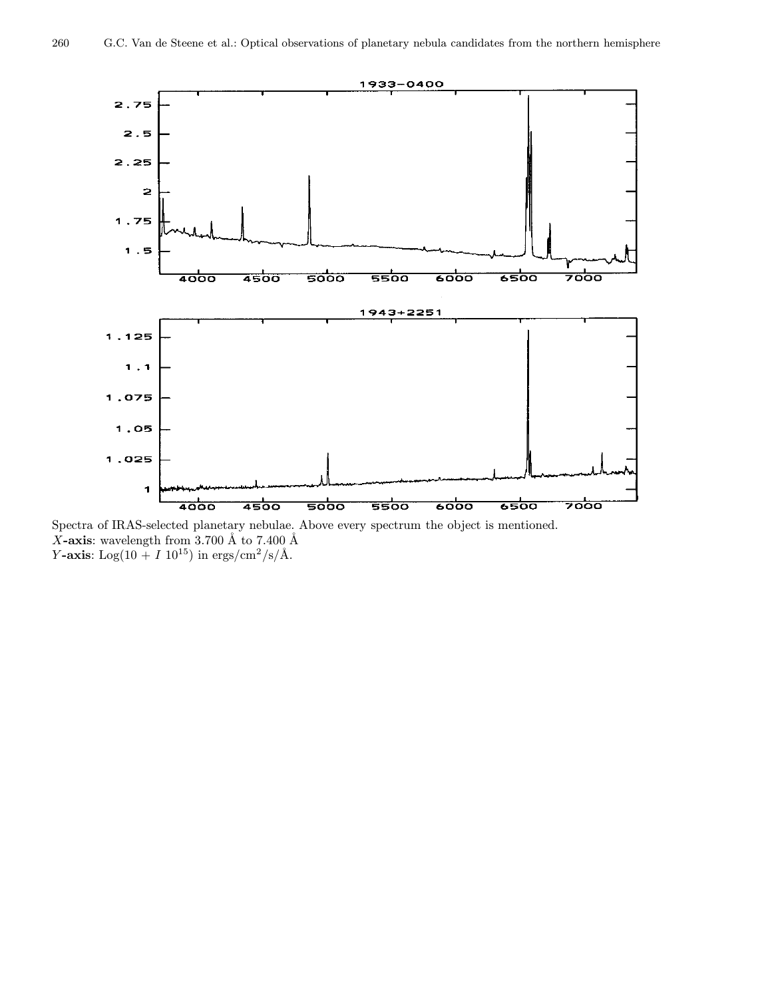

Spectra of IRAS-selected planetary nebulae. Above every spectrum the object is mentioned. X-axis: wavelength from 3.700 Å to 7.400 Å Y-axis:  $\text{Log}(10 + I\ 10^{15})$  in ergs/cm<sup>2</sup>/s/Å.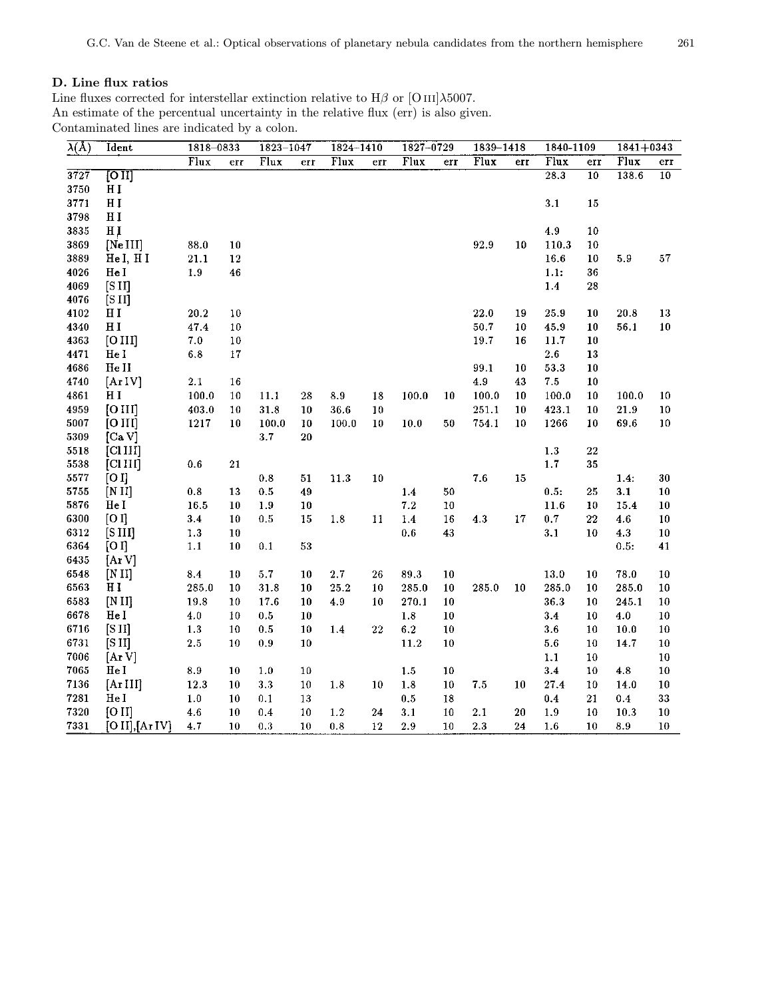## D. Line flux ratios

Line fluxes corrected for interstellar extinction relative to  $H\beta$  or [O iii] $\lambda$ 5007. An estimate of the percentual uncertainty in the relative flux (err) is also given. Contaminated lines are indicated by a colon.

| $\lambda(\AA)$ | Ident                             | 1818-0833 |                 | 1823-1047 |             | 1824-1410 |         | 1827-0729 |        | 1839-1418                |     | 1840-1109 |                 | $1841 + 0343$ |                 |
|----------------|-----------------------------------|-----------|-----------------|-----------|-------------|-----------|---------|-----------|--------|--------------------------|-----|-----------|-----------------|---------------|-----------------|
|                |                                   | Flux      | err             | Flux      | err         | Flux      | err     | Flux      | err    | $\overline{\text{Flux}}$ | err | Flux      | err             | Flux          | err             |
| 3727           | $\overline{\rm [O\,{\small II}]}$ |           |                 |           |             |           |         |           |        |                          |     | 28.3      | $\overline{10}$ | 138.6         | $\overline{10}$ |
| 3750           | НI                                |           |                 |           |             |           |         |           |        |                          |     |           |                 |               |                 |
| 3771           | H <sub>I</sub>                    |           |                 |           |             |           |         |           |        |                          |     | 3.1       | 15              |               |                 |
| 3798           | H I                               |           |                 |           |             |           |         |           |        |                          |     |           |                 |               |                 |
| 3835           | HI                                |           |                 |           |             |           |         |           |        |                          |     | 4.9       | 10              |               |                 |
| 3869           | [Ne III]                          | 88.0      | 10              |           |             |           |         |           |        | 92.9                     | 10  | 110.3     | 10              |               |                 |
| 3889           | He I, H I                         | 21.1      | $\bf{12}$       |           |             |           |         |           |        |                          |     | 16.6      | 10              | 5.9           | 57              |
| 4026           | He I                              | 1.9       | 46              |           |             |           |         |           |        |                          |     | 1.1:      | 36              |               |                 |
| 4069           | $[$ S $II]$                       |           |                 |           |             |           |         |           |        |                          |     | 1.4       | 28              |               |                 |
| 4076           | [S II]                            |           |                 |           |             |           |         |           |        |                          |     |           |                 |               |                 |
| 4102           | H I                               | 20.2      | 10              |           |             |           |         |           |        | 22.0                     | 19  | 25.9      | 10              | 20.8          | 13              |
| 4340           | H <sub>I</sub>                    | 47.4      | $10\,$          |           |             |           |         |           |        | 50.7                     | 10  | 45.9      | 10              | 56.1          | 10              |
| 4363           | [O III]                           | 7.0       | 10              |           |             |           |         |           |        | 19.7                     | 16  | 11.7      | 10              |               |                 |
| 4471           | He I                              | 6.8       | 17              |           |             |           |         |           |        |                          |     | 2.6       | 13              |               |                 |
| 4686           | He II                             |           |                 |           |             |           |         |           |        | 99.1                     | 10  | 53.3      | 10              |               |                 |
| 4740           | [ArIV]                            | 2.1       | 16              |           |             |           |         |           |        | 4.9                      | 43  | 7.5       | 10              |               |                 |
| 4861           | НI                                | 100.0     | 10              | 11.1      | 28          | 8.9       | 18      | 100.0     | 10     | 100.0                    | 10  | 100.0     | 10              | 100.0         | 10              |
| 4959           | [O III]                           | 403.0     | 10              | 31.8      | 10          | 36.6      | 10      |           |        | 251.1                    | 10  | 423.1     | 10              | 21.9          | ${\bf 10}$      |
| 5007           | [O III]                           | 1217      | 10              | 100.0     | 10          | 100.0     | 10      | 10.0      | $50\,$ | 754.1                    | 10  | 1266      | 10              | 69.6          | 10              |
| 5309           | [CaV]                             |           |                 | 3.7       | 20          |           |         |           |        |                          |     |           |                 |               |                 |
| 5518           | [CIIII]                           |           |                 |           |             |           |         |           |        |                          |     | 1.3       | $\bf{22}$       |               |                 |
| 5538           | [CIIII]                           | 0.6       | 21              |           |             |           |         |           |        |                          |     | 1.7       | 35              |               |                 |
| 5577           | [O]                               |           |                 | 0.8       | $51\,$      | 11.3      | 10      |           |        | 7.6                      | 15  |           |                 | 1.4:          | $30\,$          |
| 5755           | [N II]                            | 0.8       | 13              | 0.5       | 49          |           |         | 1.4       | 50     |                          |     | 0.5:      | 25              | 3.1           | 10              |
| 5876           | He I                              | 16.5      | 10              | 1.9       | 10          |           |         | 7.2       | 10     |                          |     | 11.6      | 10              | 15.4          | 10              |
| 6300           | [O I]                             | 3.4       | 10              | 0.5       | 15          | 1.8       | 11      | 1.4       | 16     | 4.3                      | 17  | 0.7       | 22              | 4.6           | 10              |
| 6312           | [S <sub>III</sub> ]               | 1.3       | 10              |           |             |           |         | 0.6       | 43     |                          |     | 3.1       | 10              | 4.3           | ${\bf 10}$      |
| 6364           | [O I]                             | 1.1       | 10              | 0.1       | $5\sqrt{3}$ |           |         |           |        |                          |     |           |                 | 0.5:          | 41              |
| 6435           | [ArV]                             |           |                 |           |             |           |         |           |        |                          |     |           |                 |               |                 |
| 6548           | [N II]                            | 8.4       | 10              | 5.7       | 10          | $2.7\,$   | 26      | 89.3      | 10     |                          |     | $13.0\,$  | 10              | 78.0          | 10              |
| 6563           | HI                                | 285.0     | 10              | 31.8      | 10          | 25.2      | 10      | 285.0     | 10     | 285.0                    | 10  | 285.0     | 10              | 285.0         | $10\,$          |
| 6583           | [N II]                            | 19.8      | 10              | 17.6      | 10          | 4.9       | 10      | 270.1     | 10     |                          |     | 36.3      | 10              | 245.1         | $10\,$          |
| 6678           | He I                              | 4.0       | 10              | 0.5       | 10          |           |         | 1.8       | 10     |                          |     | 3.4       | 10              | 4.0           | $10\,$          |
| 6716           | [SII]                             | 1.3       | $10\,$          | $0.5\,$   | 10          | 1.4       | $^{22}$ | $6.2\,$   | 10     |                          |     | 3.6       | $^{10}$         | 10.0          | 10              |
| 6731           | [S II]                            | 2.5       | 10              | 0.9       | 10          |           |         | 11.2      | 10     |                          |     | 5.6       | 10              | 14.7          | ${\bf 10}$      |
| 7006           | [ArV]                             |           |                 |           |             |           |         |           |        |                          |     | $1.1$     | 10              |               | $10\,$          |
| 7065           | He I                              | 8.9       | 10              | $1.0\,$   | 10          |           |         | 1.5       | 10     |                          |     | 3.4       | 10              | 4.8           | $10\,$          |
| 7136           | [Ar III]                          | 12.3      | 10              | 3.3       | 10          | 1.8       | 10      | 1.8       | 10     | 7.5                      | 10  | 27.4      | 10              | 14.0          | 10              |
| 7281           | HeI                               | $1.0\,$   | 10 <sup>°</sup> | 0.1       | 13          |           |         | 0.5       | 18     |                          |     | 0.4       | 21              | 0.4           | 33              |
| 7320           | [O II]                            | 4.6       | 10              | 0.4       | $10\,$      | $1.2\,$   | 24      | 3.1       | 10     | 2.1                      | 20  | 1.9       | 10              | 10.3          | ${\bf 10}$      |
| 7331           | [O II], $[Ar IV]$                 | 4.7       | 10              | 0.3       | 10          | 0.8       | 12      | 2.9       | 10     | 2.3                      | 24  | 1.6       | 10              | 8.9           | 10              |